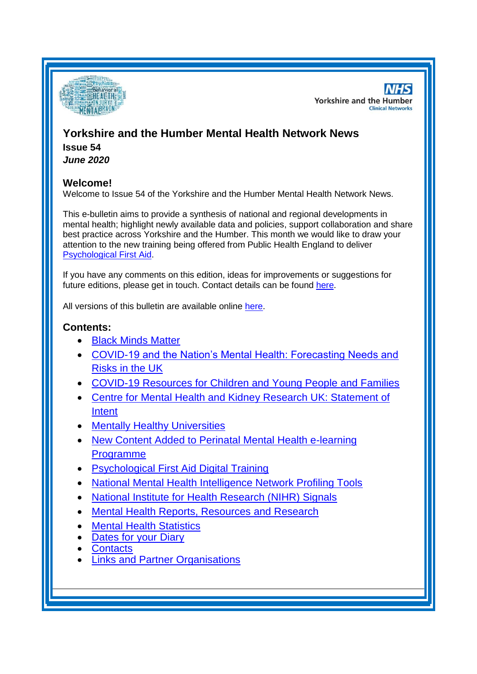<span id="page-0-0"></span>

**NHS Yorkshire and the Humber Clinical Networks** 

# **Yorkshire and the Humber Mental Health Network News Issue 54**

*June 2020*

## **Welcome!**

Welcome to Issue 54 of the Yorkshire and the Humber Mental Health Network News.

This e-bulletin aims to provide a synthesis of national and regional developments in mental health; highlight newly available data and policies, support collaboration and share best practice across Yorkshire and the Humber. This month we would like to draw your attention to the new training being offered from Public Health England to deliver [Psychological First Aid.](#page-3-0)

If you have any comments on this edition, ideas for improvements or suggestions for future editions, please get in touch. Contact details can be found [here.](#page-6-0)

All versions of this bulletin are available online [here.](http://www.yhscn.nhs.uk/mental-health-clinic/mental-health-network/MH-documents-and-links.php)

## **Contents:**

- [Black Minds Matter](#page-0-0)
- [COVID-19 and the Nation's Mental Health: Forecasting Needs and](#page-1-0)  [Risks in the UK](#page-1-0)
- [COVID-19 Resources for Children and Young People and Families](#page-1-1)
- [Centre for Mental Health and Kidney Research UK: Statement of](#page-1-2)  [Intent](#page-1-2)
- [Mentally Healthy Universities](#page-2-0)
- [New Content Added to Perinatal Mental Health e-learning](#page-2-1)  [Programme](#page-2-1)
- [Psychological First Aid Digital Training](#page-3-0)
- [National Mental Health Intelligence Network Profiling Tools](#page-3-1)
- [National Institute for Health Research \(NIHR\) Signals](#page-3-2)
- [Mental Health Reports, Resources and](#page-3-3) Research
- [Mental Health Statistics](#page-5-0)
- [Dates for your Diary](#page-6-1)
- **[Contacts](#page-6-0)**
- **[Links and Partner Organisations](#page-7-0)**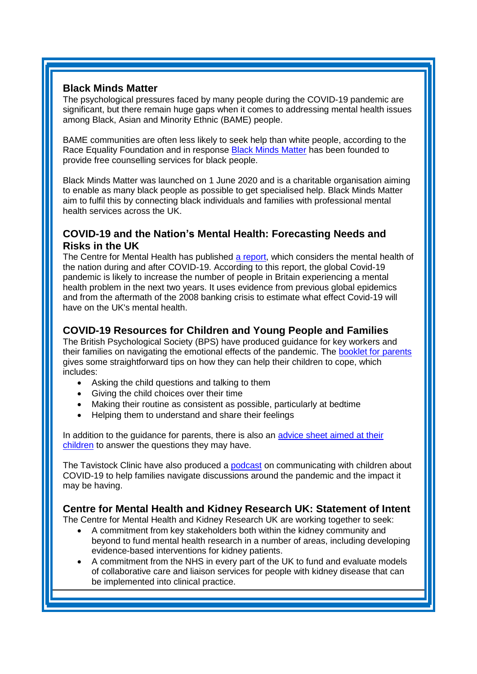## **Black Minds Matter**

The psychological pressures faced by many people during the COVID-19 pandemic are significant, but there remain huge gaps when it comes to addressing mental health issues among Black, Asian and Minority Ethnic (BAME) people.

BAME communities are often less likely to seek help than white people, according to the Race Equality Foundation and in response [Black Minds Matter](https://www.ifs.org.uk/uploads/The-mental-health-effects-of-the-first-two-months-of-lockdown-and-social-distancing-during-the-Covid-19-pandemic-in-the-UK.pdf?utm_source=The%20King%27s%20Fund%20newsletters%20%28main%20account%29&utm_medium=email&utm_campaign=11595968_NEWSL_HMP%202020-06-12&dm_i=21A8,6WJI8,FLWT3F,RRL5R,1) has been founded to provide free counselling services for black people.

Black Minds Matter was launched on 1 June 2020 and is a charitable organisation aiming to enable as many black people as possible to get specialised help. Black Minds Matter aim to fulfil this by connecting black individuals and families with professional mental health services across the UK.

## <span id="page-1-0"></span>**COVID-19 and the Nation's Mental Health: Forecasting Needs and Risks in the UK**

The Centre for Mental Health has published [a report,](https://www.centreformentalhealth.org.uk/sites/default/files/2020-05/CentreforMentalHealth_COVID_MH_Forecasting_May20.pdf?utm_source=The%20King%27s%20Fund%20newsletters%20%28main%20account%29&utm_medium=email&utm_campaign=11537671_NEWSL_HWB_2020-05-25&dm_i=21A8,6VAIV,FLWT3F,RLW4D,1) which considers the mental health of the nation during and after COVID-19. According to this report, the global Covid-19 pandemic is likely to increase the number of people in Britain experiencing a mental health problem in the next two years. It uses evidence from previous global epidemics and from the aftermath of the 2008 banking crisis to estimate what effect Covid-19 will have on the UK's mental health.

## <span id="page-1-1"></span>**COVID-19 Resources for Children and Young People and Families**

The British Psychological Society (BPS) have produced guidance for key workers and their families on navigating the emotional effects of the pandemic. The **booklet for parents** gives some straightforward tips on how they can help their children to cope, which includes:

- Asking the child questions and talking to them
- Giving the child choices over their time
- Making their routine as consistent as possible, particularly at bedtime
- Helping them to understand and share their feelings

In addition to the guidance for parents, there is also an [advice sheet aimed at their](https://www.bps.org.uk/your-parent-keyworker)  [children](https://www.bps.org.uk/your-parent-keyworker) to answer the questions they may have.

The Tavistock Clinic have also produced a [podcast](https://people.nhs.uk/uncategorized/communicating-with-children-about-covid-19/) on communicating with children about COVID-19 to help families navigate discussions around the pandemic and the impact it may be having.

## <span id="page-1-2"></span>**Centre for Mental Health and Kidney Research UK: Statement of Intent**

The Centre for Mental Health and Kidney Research UK are working together to seek:

- A commitment from key stakeholders both within the kidney community and beyond to fund mental health research in a number of areas, including developing evidence-based interventions for kidney patients.
- A commitment from the NHS in every part of the UK to fund and evaluate models of collaborative care and liaison services for people with kidney disease that can be implemented into clinical practice.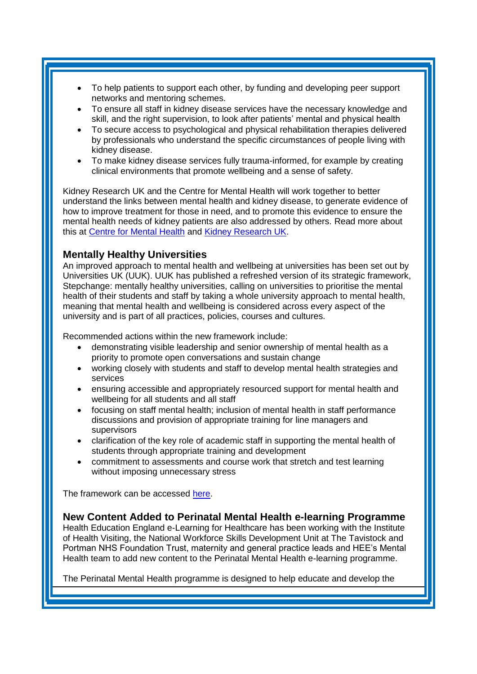- To help patients to support each other, by funding and developing peer support networks and mentoring schemes.
- To ensure all staff in kidney disease services have the necessary knowledge and skill, and the right supervision, to look after patients' mental and physical health
- To secure access to psychological and physical rehabilitation therapies delivered by professionals who understand the specific circumstances of people living with kidney disease.
- To make kidney disease services fully trauma-informed, for example by creating clinical environments that promote wellbeing and a sense of safety.

Kidney Research UK and the Centre for Mental Health will work together to better understand the links between mental health and kidney disease, to generate evidence of how to improve treatment for those in need, and to promote this evidence to ensure the mental health needs of kidney patients are also addressed by others. Read more about this at [Centre for Mental Health](https://britishrenal.us13.list-manage.com/track/click?u=ba16832efb8ed279407c624e8&id=3ac36ab176&e=316a1ba1c6) and [Kidney Research UK.](https://britishrenal.us13.list-manage.com/track/click?u=ba16832efb8ed279407c624e8&id=54799344ed&e=316a1ba1c6)

## <span id="page-2-0"></span>**Mentally Healthy Universities**

An improved approach to mental health and wellbeing at universities has been set out by Universities UK (UUK). UUK has published a refreshed version of its strategic framework, Stepchange: mentally healthy universities, calling on universities to prioritise the mental health of their students and staff by taking a whole university approach to mental health, meaning that mental health and wellbeing is considered across every aspect of the university and is part of all practices, policies, courses and cultures.

Recommended actions within the new framework include:

- demonstrating visible leadership and senior ownership of mental health as a priority to promote open conversations and sustain change
- working closely with students and staff to develop mental health strategies and services
- ensuring accessible and appropriately resourced support for mental health and wellbeing for all students and all staff
- focusing on staff mental health; inclusion of mental health in staff performance discussions and provision of appropriate training for line managers and supervisors
- clarification of the key role of academic staff in supporting the mental health of students through appropriate training and development
- commitment to assessments and course work that stretch and test learning without imposing unnecessary stress

The framework can be accessed [here.](https://www.universitiesuk.ac.uk/policy-and-analysis/reports/Documents/2020/uuk-stepchange-mhu.pdf?utm_source=The%20King%27s%20Fund%20newsletters%20%28main%20account%29&utm_medium=email&utm_campaign=11551909_NEWSL_HMP%202020-05-22&dm_i=21A8,6VLID,FLWT3F,RLWLZ,1)

### <span id="page-2-1"></span>**New Content Added to Perinatal Mental Health e-learning Programme**

Health Education England e-Learning for Healthcare has been working with the Institute of Health Visiting, the National Workforce Skills Development Unit at The Tavistock and Portman NHS Foundation Trust, maternity and general practice leads and HEE's Mental Health team to add new content to the Perinatal Mental Health e-learning programme.

The Perinatal Mental Health programme is designed to help educate and develop the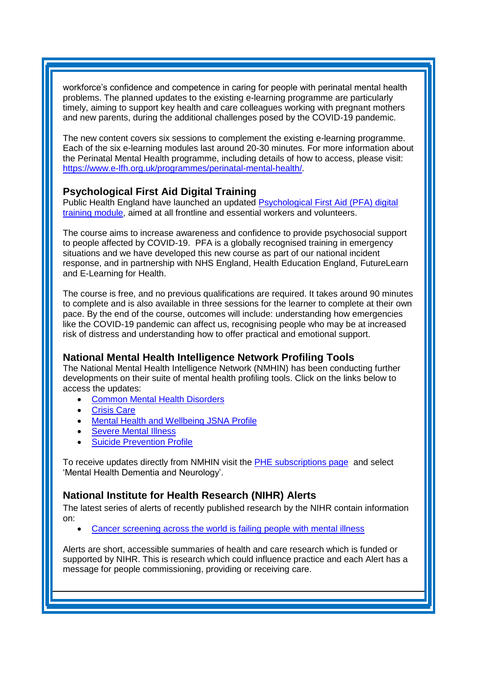<span id="page-3-3"></span>workforce's confidence and competence in caring for people with perinatal mental health problems. The planned updates to the existing e-learning programme are particularly timely, aiming to support key health and care colleagues working with pregnant mothers and new parents, during the additional challenges posed by the COVID-19 pandemic.

The new content covers six sessions to complement the existing e-learning programme. Each of the six e-learning modules last around 20-30 minutes. For more information about the Perinatal Mental Health programme, including details of how to access, please visit: [https://www.e-lfh.org.uk/programmes/perinatal-mental-health/.](https://www.e-lfh.org.uk/programmes/perinatal-mental-health/)

## <span id="page-3-0"></span>**Psychological First Aid Digital Training**

Public Health England have launched an updated [Psychological First Aid \(PFA\) digital](https://www.futurelearn.com/courses/psychological-first-aid-covid-19/1)  [training module,](https://www.futurelearn.com/courses/psychological-first-aid-covid-19/1) aimed at all frontline and essential workers and volunteers.

The course aims to increase awareness and confidence to provide psychosocial support to people affected by COVID-19. PFA is a globally recognised training in emergency situations and we have developed this new course as part of our national incident response, and in partnership with NHS England, Health Education England, FutureLearn and E-Learning for Health.

The course is free, and no previous qualifications are required. It takes around 90 minutes to complete and is also available in three sessions for the learner to complete at their own pace. By the end of the course, outcomes will include: understanding how emergencies like the COVID-19 pandemic can affect us, recognising people who may be at increased risk of distress and understanding how to offer practical and emotional support.

## <span id="page-3-1"></span>**National Mental Health Intelligence Network Profiling Tools**

The National Mental Health Intelligence Network (NMHIN) has been conducting further developments on their suite of mental health profiling tools. Click on the links below to access the updates:

- [Common Mental Health Disorders](http://links.govdelivery.com/track?type=click&enid=ZWFzPTEmbXNpZD0mYXVpZD0mbWFpbGluZ2lkPTIwMTcxMjA1LjgxOTE2MDgxJm1lc3NhZ2VpZD1NREItUFJELUJVTC0yMDE3MTIwNS44MTkxNjA4MSZkYXRhYmFzZWlkPTEwMDEmc2VyaWFsPTE2OTcwMTE4JmVtYWlsaWQ9c2FyYWguYm91bEBuaHMubmV0JnVzZXJpZD1zYXJhaC5ib3VsQG5ocy5uZXQmdGFyZ2V0aWQ9JmZsPSZleHRyYT1NdWx0aXZhcmlhdGVJZD0mJiY=&&&104&&&https://fingertips.phe.org.uk/profile-group/mental-health/profile/common-mental-disorders)
- [Crisis Care](http://links.govdelivery.com/track?type=click&enid=ZWFzPTEmbXNpZD0mYXVpZD0mbWFpbGluZ2lkPTIwMTcxMjA1LjgxOTE2MDgxJm1lc3NhZ2VpZD1NREItUFJELUJVTC0yMDE3MTIwNS44MTkxNjA4MSZkYXRhYmFzZWlkPTEwMDEmc2VyaWFsPTE2OTcwMTE4JmVtYWlsaWQ9c2FyYWguYm91bEBuaHMubmV0JnVzZXJpZD1zYXJhaC5ib3VsQG5ocy5uZXQmdGFyZ2V0aWQ9JmZsPSZleHRyYT1NdWx0aXZhcmlhdGVJZD0mJiY=&&&105&&&https://fingertips.phe.org.uk/profile-group/mental-health/profile/crisis-care)
- **Mental Health [and Wellbeing JSNA Profile](http://links.govdelivery.com/track?type=click&enid=ZWFzPTEmbXNpZD0mYXVpZD0mbWFpbGluZ2lkPTIwMTcxMjA1LjgxOTE2MDgxJm1lc3NhZ2VpZD1NREItUFJELUJVTC0yMDE3MTIwNS44MTkxNjA4MSZkYXRhYmFzZWlkPTEwMDEmc2VyaWFsPTE2OTcwMTE4JmVtYWlsaWQ9c2FyYWguYm91bEBuaHMubmV0JnVzZXJpZD1zYXJhaC5ib3VsQG5ocy5uZXQmdGFyZ2V0aWQ9JmZsPSZleHRyYT1NdWx0aXZhcmlhdGVJZD0mJiY=&&&106&&&https://fingertips.phe.org.uk/profile-group/mental-health/profile/mh-jsna)**
- **[Severe Mental](http://links.govdelivery.com/track?type=click&enid=ZWFzPTEmbXNpZD0mYXVpZD0mbWFpbGluZ2lkPTIwMTcxMjA1LjgxOTE2MDgxJm1lc3NhZ2VpZD1NREItUFJELUJVTC0yMDE3MTIwNS44MTkxNjA4MSZkYXRhYmFzZWlkPTEwMDEmc2VyaWFsPTE2OTcwMTE4JmVtYWlsaWQ9c2FyYWguYm91bEBuaHMubmV0JnVzZXJpZD1zYXJhaC5ib3VsQG5ocy5uZXQmdGFyZ2V0aWQ9JmZsPSZleHRyYT1NdWx0aXZhcmlhdGVJZD0mJiY=&&&108&&&https://fingertips.phe.org.uk/profile-group/mental-health/profile/severe-mental-illness) Illness**
- **[Suicide Prevention Profile](http://links.govdelivery.com/track?type=click&enid=ZWFzPTEmbXNpZD0mYXVpZD0mbWFpbGluZ2lkPTIwMTgwNjA1LjkwNzEwNzExJm1lc3NhZ2VpZD1NREItUFJELUJVTC0yMDE4MDYwNS45MDcxMDcxMSZkYXRhYmFzZWlkPTEwMDEmc2VyaWFsPTE3MDEzODU4JmVtYWlsaWQ9c2FyYWguYm91bEBuaHMubmV0JnVzZXJpZD1zYXJhaC5ib3VsQG5ocy5uZXQmdGFyZ2V0aWQ9JmZsPSZleHRyYT1NdWx0aXZhcmlhdGVJZD0mJiY=&&&104&&&https://fingertips.phe.org.uk/profile-group/mental-health/profile/suicide)**

To receive updates directly from NMHIN visit the [PHE subscriptions page](http://links.govdelivery.com/track?type=click&enid=ZWFzPTEmbXNpZD0mYXVpZD0mbWFpbGluZ2lkPTIwMTgwMjA3Ljg0OTY1MzgxJm1lc3NhZ2VpZD1NREItUFJELUJVTC0yMDE4MDIwNy44NDk2NTM4MSZkYXRhYmFzZWlkPTEwMDEmc2VyaWFsPTE2OTgzNDk5JmVtYWlsaWQ9c2FyYWguYm91bEBuaHMubmV0JnVzZXJpZD1zYXJhaC5ib3VsQG5ocy5uZXQmdGFyZ2V0aWQ9JmZsPSZleHRyYT1NdWx0aXZhcmlhdGVJZD0mJiY=&&&107&&&https://public.govdelivery.com/accounts/UKHPA/subscribers/new?preferences=true) and select 'Mental Health Dementia and Neurology'.

## <span id="page-3-2"></span>**National Institute for Health Research (NIHR) Alerts**

The latest series of alerts of recently published research by the NIHR contain information on:

• [Cancer screening across the world is failing people with mental illness](https://nihr.us14.list-manage.com/track/click?u=299dc02111e8a68172029095f&id=e0fd79a1d8&e=219cc58ea4)

Alerts are short, accessible summaries of health and care research which is funded or supported by NIHR. This is research which could influence practice and each Alert has a message for people commissioning, providing or receiving care.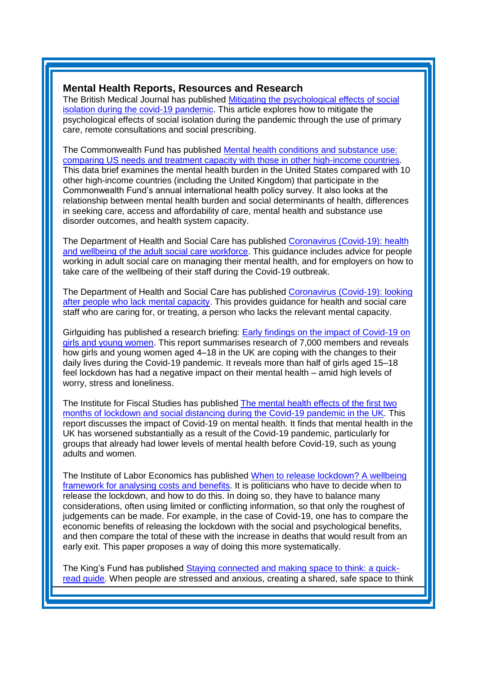### **Mental Health Reports, Resources and Research**

The British Medical Journal has published [Mitigating the psychological effects of social](https://www.bmj.com/content/369/bmj.m1904?utm_source=twitter&utm_medium=social&utm_term=hootsuite&utm_content=sme&utm_campaign=usage)  [isolation during the covid-19 pandemic.](https://www.bmj.com/content/369/bmj.m1904?utm_source=twitter&utm_medium=social&utm_term=hootsuite&utm_content=sme&utm_campaign=usage) This article explores how to mitigate the psychological effects of social isolation during the pandemic through the use of primary care, remote consultations and social prescribing.

The Commonwealth Fund has published [Mental health conditions and substance use:](https://www.commonwealthfund.org/sites/default/files/2020-05/Tikkanen_mental_hlt_intl_comparison_db.pdf?utm_source=The%20King%27s%20Fund%20newsletters%20%28main%20account%29&utm_medium=email&utm_campaign=11568950_NEWSL_HMP%202020-05-29&dm_i=21A8,6VYNQ,FLWT3F,RNW3W,1)  [comparing US needs and treatment capacity with those in other high-income countries.](https://www.commonwealthfund.org/sites/default/files/2020-05/Tikkanen_mental_hlt_intl_comparison_db.pdf?utm_source=The%20King%27s%20Fund%20newsletters%20%28main%20account%29&utm_medium=email&utm_campaign=11568950_NEWSL_HMP%202020-05-29&dm_i=21A8,6VYNQ,FLWT3F,RNW3W,1) This data brief examines the mental health burden in the United States compared with 10 other high-income countries (including the United Kingdom) that participate in the Commonwealth Fund's annual international health policy survey. It also looks at the relationship between mental health burden and social determinants of health, differences in seeking care, access and affordability of care, mental health and substance use disorder outcomes, and health system capacity.

The Department of Health and Social Care has published [Coronavirus \(Covid-19\): health](https://www.gov.uk/government/publications/coronavirus-covid-19-health-and-wellbeing-of-the-adult-social-care-workforce?utm_source=The%20King%27s%20Fund%20newsletters%20%28main%20account%29&utm_medium=email&utm_campaign=11522371_NEWSL_HMP%202020-05-12&dm_i=21A8,6VAIV,FLWT3F,RKLD8,1)  [and wellbeing of the adult social care workforce.](https://www.gov.uk/government/publications/coronavirus-covid-19-health-and-wellbeing-of-the-adult-social-care-workforce?utm_source=The%20King%27s%20Fund%20newsletters%20%28main%20account%29&utm_medium=email&utm_campaign=11522371_NEWSL_HMP%202020-05-12&dm_i=21A8,6VAIV,FLWT3F,RKLD8,1) This guidance includes advice for people working in adult social care on managing their mental health, and for employers on how to take care of the wellbeing of their staff during the Covid-19 outbreak.

The Department of Health and Social Care has published [Coronavirus \(Covid-19\): looking](https://kingsfundmail.org.uk/21A8-6W0WA-FLWT3F-42P4VB-1/c.aspx)  [after people who lack mental capacity.](https://kingsfundmail.org.uk/21A8-6W0WA-FLWT3F-42P4VB-1/c.aspx) This provides guidance for health and social care staff who are caring for, or treating, a person who lacks the relevant mental capacity.

Girlguiding has published a research briefing: [Early findings on the impact of Covid-19 on](https://www.girlguiding.org.uk/globalassets/docs-and-resources/research-and-campaigns/girlguiding-covid19-research-briefing.pdf?utm_source=The%20King%27s%20Fund%20newsletters%20%28main%20account%29&utm_medium=email&utm_campaign=11551909_NEWSL_HMP%202020-05-22)  [girls and young women.](https://www.girlguiding.org.uk/globalassets/docs-and-resources/research-and-campaigns/girlguiding-covid19-research-briefing.pdf?utm_source=The%20King%27s%20Fund%20newsletters%20%28main%20account%29&utm_medium=email&utm_campaign=11551909_NEWSL_HMP%202020-05-22) This report summarises research of 7,000 members and reveals how girls and young women aged 4–18 in the UK are coping with the changes to their daily lives during the Covid-19 pandemic. It reveals more than half of girls aged 15–18 feel lockdown has had a negative impact on their mental health – amid high levels of worry, stress and loneliness.

The Institute for Fiscal Studies has published [The mental health effects of the first two](https://www.ifs.org.uk/uploads/The-mental-health-effects-of-the-first-two-months-of-lockdown-and-social-distancing-during-the-Covid-19-pandemic-in-the-UK.pdf?utm_source=The%20King%27s%20Fund%20newsletters%20%28main%20account%29&utm_medium=email&utm_campaign=11595968_NEWSL_HMP%202020-06-12&dm_i=21A8,6WJI8,FLWT3F,RRL5R,1)  [months of lockdown and social distancing during the Covid-19 pandemic in the UK.](https://www.ifs.org.uk/uploads/The-mental-health-effects-of-the-first-two-months-of-lockdown-and-social-distancing-during-the-Covid-19-pandemic-in-the-UK.pdf?utm_source=The%20King%27s%20Fund%20newsletters%20%28main%20account%29&utm_medium=email&utm_campaign=11595968_NEWSL_HMP%202020-06-12&dm_i=21A8,6WJI8,FLWT3F,RRL5R,1) This report discusses the impact of Covid-19 on mental health. It finds that mental health in the UK has worsened substantially as a result of the Covid-19 pandemic, particularly for groups that already had lower levels of mental health before Covid-19, such as young adults and women.

The Institute of Labor Economics has published [When to release lockdown? A wellbeing](http://ftp.iza.org/dp13186.pdf?utm_source=The%20King%27s%20Fund%20newsletters%20%28main%20account%29&utm_medium=email&utm_campaign=11537671_NEWSL_HWB_2020-05-25&dm_i=21A8,6VAIV,FLWT3F,RMULR,1)  [framework for analysing costs and benefits.](http://ftp.iza.org/dp13186.pdf?utm_source=The%20King%27s%20Fund%20newsletters%20%28main%20account%29&utm_medium=email&utm_campaign=11537671_NEWSL_HWB_2020-05-25&dm_i=21A8,6VAIV,FLWT3F,RMULR,1) It is politicians who have to decide when to release the lockdown, and how to do this. In doing so, they have to balance many considerations, often using limited or conflicting information, so that only the roughest of judgements can be made. For example, in the case of Covid-19, one has to compare the economic benefits of releasing the lockdown with the social and psychological benefits, and then compare the total of these with the increase in deaths that would result from an early exit. This paper proposes a way of doing this more systematically.

The King's Fund has published [Staying connected and making space to think: a quick](https://kingsfundmail.org.uk/21A8-6VSUR-FLWT3F-42F5TG-1/c.aspx)[read guide.](https://kingsfundmail.org.uk/21A8-6VSUR-FLWT3F-42F5TG-1/c.aspx) When people are stressed and anxious, creating a shared, safe space to think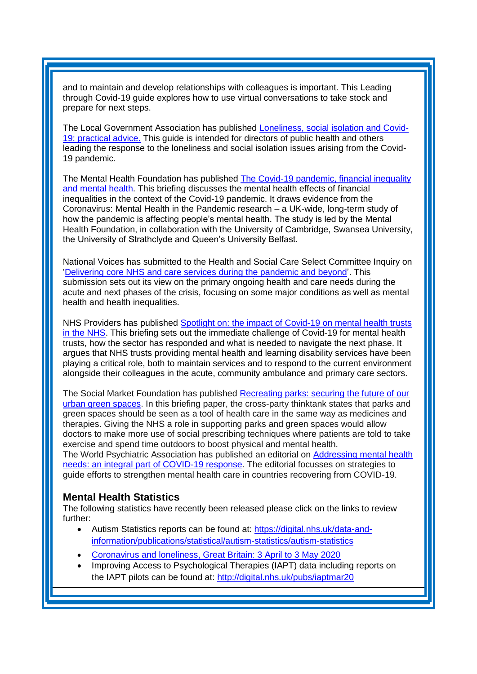and to maintain and develop relationships with colleagues is important. This Leading through Covid-19 guide explores how to use virtual conversations to take stock and prepare for next steps.

The Local Government Association has published [Loneliness, social isolation and Covid-](https://www.local.gov.uk/sites/default/files/documents/Loneliness%20social%20isolation%20and%20COVID-19%20WEB.pdf?utm_source=The%20King%27s%20Fund%20newsletters%20%28main%20account%29&utm_medium=email&utm_campaign=11568950_NEWSL_HMP%202020-05-29&dm_i=21A8,6VYNQ,FLWT3F,RO0BC,1)[19: practical advice.](https://www.local.gov.uk/sites/default/files/documents/Loneliness%20social%20isolation%20and%20COVID-19%20WEB.pdf?utm_source=The%20King%27s%20Fund%20newsletters%20%28main%20account%29&utm_medium=email&utm_campaign=11568950_NEWSL_HMP%202020-05-29&dm_i=21A8,6VYNQ,FLWT3F,RO0BC,1) This guide is intended for directors of public health and others leading the response to the loneliness and social isolation issues arising from the Covid-19 pandemic.

The Mental Health Foundation has published The Covid-19 pandemic, financial inequality [and mental health.](https://www.mentalhealth.org.uk/sites/default/files/MHF-covid-19-inequality-mental-health-briefing.pdf?utm_source=The%20King%27s%20Fund%20newsletters%20%28main%20account%29&utm_medium=email&utm_campaign=11559284_NEWSL_HMP%202020-05-26&dm_i=21A8,6VR78,FLWT3F,RNEBF,1) This briefing discusses the mental health effects of financial inequalities in the context of the Covid-19 pandemic. It draws evidence from the Coronavirus: Mental Health in the Pandemic research – a UK-wide, long-term study of how the pandemic is affecting people's mental health. The study is led by the Mental Health Foundation, in collaboration with the University of Cambridge, Swansea University, the University of Strathclyde and Queen's University Belfast.

National Voices has submitted to the Health and Social Care Select Committee Inquiry on 'Delivering core NHS [and care services during the pandemic and beyond'](https://www.nationalvoices.org.uk/sites/default/files/public/publications/hssc_submission_140520.pdf?utm_source=The%20King%27s%20Fund%20newsletters%20%28main%20account%29&utm_medium=email&utm_campaign=11537671_NEWSL_HWB_2020-05-25&dm_i=21A8,6VAIV,FLWT3F,RLVPQ,1). This submission sets out its view on the primary ongoing health and care needs during the acute and next phases of the crisis, focusing on some major conditions as well as mental health and health inequalities.

NHS Providers has published Spotlight on: the impact of Covid-19 on mental health trusts [in the NHS.](https://nhsproviders.org/media/689590/spotlight-on-mental-health.pdf?utm_source=The%20King%27s%20Fund%20newsletters%20%28main%20account%29&utm_medium=email&utm_campaign=11578185_NEWSL_HMP%202020-06-05&dm_i=21A8,6W5S9,FLWT3F,RPPUN,1) This briefing sets out the immediate challenge of Covid-19 for mental health trusts, how the sector has responded and what is needed to navigate the next phase. It argues that NHS trusts providing mental health and learning disability services have been playing a critical role, both to maintain services and to respond to the current environment alongside their colleagues in the acute, community ambulance and primary care sectors.

The Social Market Foundation has published [Recreating parks: securing the future of our](http://www.smf.co.uk/wp-content/uploads/2020/05/Recreating-parks.pdf?utm_source=The%20King%27s%20Fund%20newsletters%20%28main%20account%29&utm_medium=email&utm_campaign=11537671_NEWSL_HWB_2020-05-25&dm_i=21A8,6VAIV,FLWT3F,RM4I0,1)  [urban green spaces.](http://www.smf.co.uk/wp-content/uploads/2020/05/Recreating-parks.pdf?utm_source=The%20King%27s%20Fund%20newsletters%20%28main%20account%29&utm_medium=email&utm_campaign=11537671_NEWSL_HWB_2020-05-25&dm_i=21A8,6VAIV,FLWT3F,RM4I0,1) In this briefing paper, the cross-party thinktank states that parks and green spaces should be seen as a tool of health care in the same way as medicines and therapies. Giving the NHS a role in supporting parks and green spaces would allow doctors to make more use of social prescribing techniques where patients are told to take exercise and spend time outdoors to boost physical and mental health. The World Psychiatric Association has published an editorial on [Addressing mental health](https://3ba346de-fde6-473f-b1da-536498661f9c.filesusr.com/ugd/e172f3_5080b243ffb2488997af4a6d782616c6.pdf)  [needs: an integral part of COVID-19](https://3ba346de-fde6-473f-b1da-536498661f9c.filesusr.com/ugd/e172f3_5080b243ffb2488997af4a6d782616c6.pdf) response. The editorial focusses on strategies to guide efforts to strengthen mental health care in countries recovering from COVID-19.

### <span id="page-5-0"></span>**Mental Health Statistics**

The following statistics have recently been released please click on the links to review further:

- Autism Statistics reports can be found at: [https://digital.nhs.uk/data-and](https://elinkeu.clickdimensions.com/c/6/?T=NTgyNTUzNzk%3AcDEtYjIwMTI2LTk2ODI5NWM0ZDc0ZDRhNmFiY2M5ZjcxZTgwNWQ1NjQz%3Ac2FyYWguYm91bEBuaHMubmV0%3AY29udGFjdC0wMWE0ZjMzNGMyMzVlOTExYTllNTAwMGQzYTJiYmRhMS1mYTBkNjhmZDY0OWI0MjI3OTE4OTJjMDdjNjMwNjJhOA%3AZmFsc2U%3AMjM%3A%3AaHR0cHM6Ly9kaWdpdGFsLm5ocy51ay9kYXRhLWFuZC1pbmZvcm1hdGlvbi9wdWJsaWNhdGlvbnMvc3RhdGlzdGljYWwvYXV0aXNtLXN0YXRpc3RpY3MvYXV0aXNtLXN0YXRpc3RpY3M_X2NsZGVlPWMyRnlZV2d1WW05MWJFQnVhSE11Ym1WMCZyZWNpcGllbnRpZD1jb250YWN0LTAxYTRmMzM0YzIzNWU5MTFhOWU1MDAwZDNhMmJiZGExLWZhMGQ2OGZkNjQ5YjQyMjc5MTg5MmMwN2M2MzA2MmE4JmVzaWQ9MzBjZjg2ZjEtZTk4ZC1lYTExLWE4MTEtMDAwZDNhODZiNDEw&K=gLmQMjFPWOX0bSJDu76Dug)[information/publications/statistical/autism-statistics/autism-statistics](https://elinkeu.clickdimensions.com/c/6/?T=NTgyNTUzNzk%3AcDEtYjIwMTI2LTk2ODI5NWM0ZDc0ZDRhNmFiY2M5ZjcxZTgwNWQ1NjQz%3Ac2FyYWguYm91bEBuaHMubmV0%3AY29udGFjdC0wMWE0ZjMzNGMyMzVlOTExYTllNTAwMGQzYTJiYmRhMS1mYTBkNjhmZDY0OWI0MjI3OTE4OTJjMDdjNjMwNjJhOA%3AZmFsc2U%3AMjM%3A%3AaHR0cHM6Ly9kaWdpdGFsLm5ocy51ay9kYXRhLWFuZC1pbmZvcm1hdGlvbi9wdWJsaWNhdGlvbnMvc3RhdGlzdGljYWwvYXV0aXNtLXN0YXRpc3RpY3MvYXV0aXNtLXN0YXRpc3RpY3M_X2NsZGVlPWMyRnlZV2d1WW05MWJFQnVhSE11Ym1WMCZyZWNpcGllbnRpZD1jb250YWN0LTAxYTRmMzM0YzIzNWU5MTFhOWU1MDAwZDNhMmJiZGExLWZhMGQ2OGZkNjQ5YjQyMjc5MTg5MmMwN2M2MzA2MmE4JmVzaWQ9MzBjZjg2ZjEtZTk4ZC1lYTExLWE4MTEtMDAwZDNhODZiNDEw&K=gLmQMjFPWOX0bSJDu76Dug)
- [Coronavirus and loneliness, Great Britain: 3 April to 3 May 2020](https://kingsfundmail.org.uk/21A8-6WE80-FLWT3F-430TT3-1/c.aspx)
- Improving Access to Psychological Therapies (IAPT) data including reports on the IAPT pilots can be found at: [http://digital.nhs.uk/pubs/iaptmar20](https://elinkeu.clickdimensions.com/c/6/?T=NTgyNTUzNzk%3AcDEtYjIwMTU1LWJlZjFjZmJkNDk2NjQ0ZjU4OTZjYzc5YTgyOGFkMzNi%3Ac2FyYWguYm91bEBuaHMubmV0%3AY29udGFjdC0wMWE0ZjMzNGMyMzVlOTExYTllNTAwMGQzYTJiYmRhMS05N2IwYzgwYTljM2Q0MzBkOWJkM2FkNTkxY2MzYjU3Yg%3AZmFsc2U%3AMjY%3A%3AaHR0cDovL2RpZ2l0YWwubmhzLnVrL3B1YnMvaWFwdG1hcjIwP19jbGRlZT1jMkZ5WVdndVltOTFiRUJ1YUhNdWJtVjAmcmVjaXBpZW50aWQ9Y29udGFjdC0wMWE0ZjMzNGMyMzVlOTExYTllNTAwMGQzYTJiYmRhMS05N2IwYzgwYTljM2Q0MzBkOWJkM2FkNTkxY2MzYjU3YiZlc2lkPTY4NTI0NmY4LTBmYTAtZWExMS1hODEyLTAwMGQzYTg2YjQxMA&K=Ye582SSjuE7wo4KPVlk1HQ)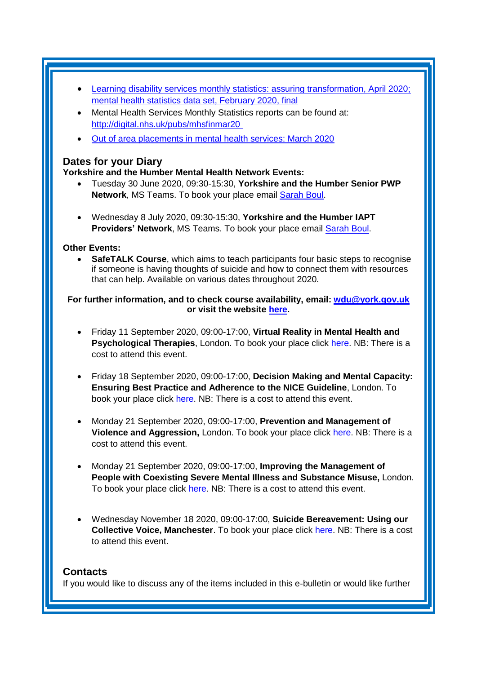- [Learning disability services monthly statistics: assuring transformation, April 2020;](https://kingsfundmail.org.uk/21A8-6VLID-FLWT3F-42DBNA-1/c.aspx)  [mental health statistics data set, February 2020, final](https://kingsfundmail.org.uk/21A8-6VLID-FLWT3F-42DBNA-1/c.aspx)
- Mental Health Services Monthly Statistics reports can be found at: [http://digital.nhs.uk/pubs/mhsfinmar20](https://elinkeu.clickdimensions.com/c/6/?T=NTgyNTUzNzk%3AcDEtYjIwMTU1LWJlZjFjZmJkNDk2NjQ0ZjU4OTZjYzc5YTgyOGFkMzNi%3Ac2FyYWguYm91bEBuaHMubmV0%3AY29udGFjdC0wMWE0ZjMzNGMyMzVlOTExYTllNTAwMGQzYTJiYmRhMS05N2IwYzgwYTljM2Q0MzBkOWJkM2FkNTkxY2MzYjU3Yg%3AZmFsc2U%3AMjE%3A%3AaHR0cDovL2RpZ2l0YWwubmhzLnVrL3B1YnMvbWhzZmlubWFyMjAlQzIlQTA_X2NsZGVlPWMyRnlZV2d1WW05MWJFQnVhSE11Ym1WMCZyZWNpcGllbnRpZD1jb250YWN0LTAxYTRmMzM0YzIzNWU5MTFhOWU1MDAwZDNhMmJiZGExLTk3YjBjODBhOWMzZDQzMGQ5YmQzYWQ1OTFjYzNiNTdiJmVzaWQ9Njg1MjQ2ZjgtMGZhMC1lYTExLWE4MTItMDAwZDNhODZiNDEw&K=e1PhSLqFYQ7hgAJZtPBOtQ)
- [Out of area placements in mental health services: March 2020](https://kingsfundmail.org.uk/21A8-6WJI8-FLWT3F-435ENU-1/c.aspx)

### <span id="page-6-1"></span>**Dates for your Diary**

#### **Yorkshire and the Humber Mental Health Network Events:**

- Tuesday 30 June 2020, 09:30-15:30, **Yorkshire and the Humber Senior PWP Network**, MS Teams. To book your place email [Sarah Boul.](mailto:sarah.boul@nhs.net)
- Wednesday 8 July 2020, 09:30-15:30, **Yorkshire and the Humber IAPT Providers' Network**, MS Teams. To book your place email [Sarah Boul.](mailto:sarah.boul@nhs.net)

#### **Other Events:**

**SafeTALK Course**, which aims to teach participants four basic steps to recognise if someone is having thoughts of suicide and how to connect them with resources that can help. Available on various dates throughout 2020.

#### **For further information, and to check course availability, email: [wdu@york.gov.uk](mailto:wdu@york.gov.uk) or visit the website [here.](http://www.yorkworkforcedevelopment.org.uk/)**

- Friday 11 September 2020, 09:00-17:00, **Virtual Reality in Mental Health and Psychological Therapies**, London. To book your place click [here.](https://www.healthcareconferencesuk.co.uk/conferences-masterclasses/virtual-reality-mental-health/book/west-one-de-vere-conference-centre-london-2020-9-11?utm_medium=email&utm_source=HCUKkt&utm_campaign=VM0920) NB: There is a cost to attend this event.
- Friday 18 September 2020, 09:00-17:00, **Decision Making and Mental Capacity: Ensuring Best Practice and Adherence to the NICE Guideline**, London. To book your place click [here.](https://www.healthcareconferencesuk.co.uk/conferences-masterclasses/prevention-and-management-of-violence-and-aggression-pmva-masterclass/book/the-studio-conference-centre-birmingham-2020-5-12?utm_medium=email&utm_source=HCUKKH&utm_campaign=PMVAMay2020) NB: There is a cost to attend this event.
- Monday 21 September 2020, 09:00-17:00, **Prevention and Management of Violence and Aggression,** London. To book your place click [here.](https://www.healthcareconferencesuk.co.uk/conferences-masterclasses/prevention-and-management-of-violence-and-aggression-pmva-masterclass/book/the-studio-conference-centre-birmingham-2020-5-12?utm_medium=email&utm_source=HCUKKH&utm_campaign=PMVAMay2020) NB: There is a cost to attend this event.
- Monday 21 September 2020, 09:00-17:00, **Improving the Management of People with Coexisting Severe Mental Illness and Substance Misuse,** London. To book your place click [here.](https://www.healthcareconferencesuk.co.uk/conferences-masterclasses/coexisting-severe-mental-illness-and-substance-misuse/book/central-venue-london-2020-9-21?utm_medium=email&utm_source=HCUKKH&utm_campaign=HCCoexSMISepp2020) NB: There is a cost to attend this event.
- Wednesday November 18 2020, 09:00-17:00, **Suicide Bereavement: Using our Collective Voice, Manchester**. To book your place click [here.](https://suicidebereavementuk.com/suicide-bereavement-conference) NB: There is a cost to attend this event.

#### <span id="page-6-0"></span>**Contacts**

If you would like to discuss any of the items included in this e-bulletin or would like further